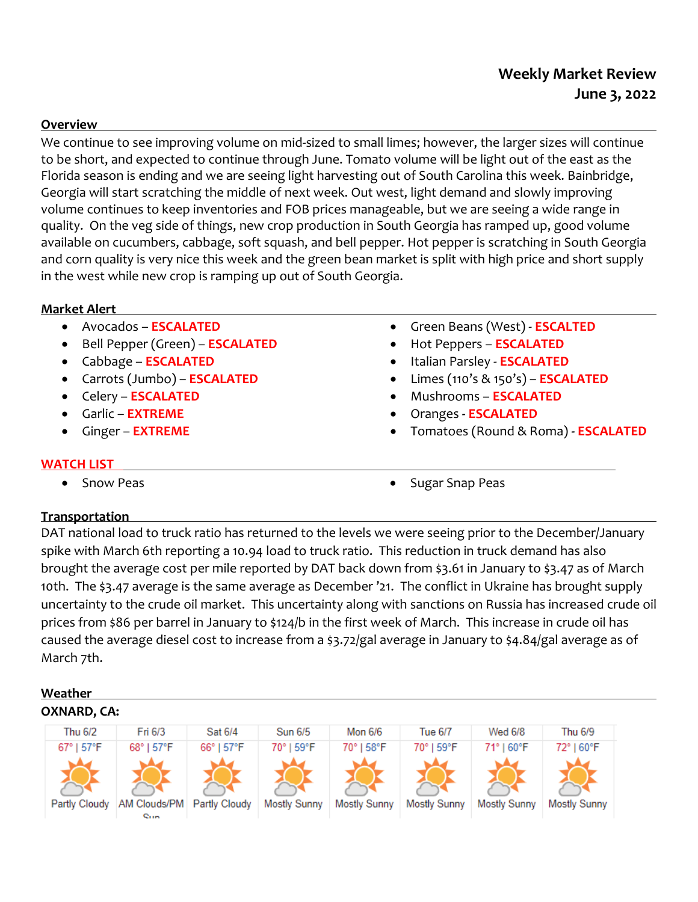# **Weekly Market Review June 3, 2022**

#### **Overview**

We continue to see improving volume on mid-sized to small limes; however, the larger sizes will continue to be short, and expected to continue through June. Tomato volume will be light out of the east as the Florida season is ending and we are seeing light harvesting out of South Carolina this week. Bainbridge, Georgia will start scratching the middle of next week. Out west, light demand and slowly improving volume continues to keep inventories and FOB prices manageable, but we are seeing a wide range in quality. On the veg side of things, new crop production in South Georgia has ramped up, good volume available on cucumbers, cabbage, soft squash, and bell pepper. Hot pepper is scratching in South Georgia and corn quality is very nice this week and the green bean market is split with high price and short supply in the west while new crop is ramping up out of South Georgia.

## **Market Alert**

- Avocados **ESCALATED**
- Bell Pepper (Green) **ESCALATED**
- Cabbage **ESCALATED**
- Carrots (Jumbo) **ESCALATED**
- Celery **ESCALATED**
- Garlic **EXTREME**
- Ginger **EXTREME**
- -
- Green Beans (West) **ESCALTED**
- Hot Peppers **ESCALATED** Italian Parsley - **ESCALATED**
- Limes (110's & 150's) **ESCALATED**
- Mushrooms **ESCALATED**
- Oranges **- ESCALATED**
- Tomatoes (Round & Roma) **- ESCALATED**

## **WATCH LIST**

- 
- Snow Peas **Sugar Snap Peas Sugar Snap Peas**

## **Transportation**

DAT national load to truck ratio has returned to the levels we were seeing prior to the December/January spike with March 6th reporting a 10.94 load to truck ratio. This reduction in truck demand has also brought the average cost per mile reported by DAT back down from \$3.61 in January to \$3.47 as of March 10th. The \$3.47 average is the same average as December '21. The conflict in Ukraine has brought supply uncertainty to the crude oil market. This uncertainty along with sanctions on Russia has increased crude oil prices from \$86 per barrel in January to \$124/b in the first week of March. This increase in crude oil has caused the average diesel cost to increase from a \$3.72/gal average in January to \$4.84/gal average as of March 7th.

## **Weather OXNARD, CA:**

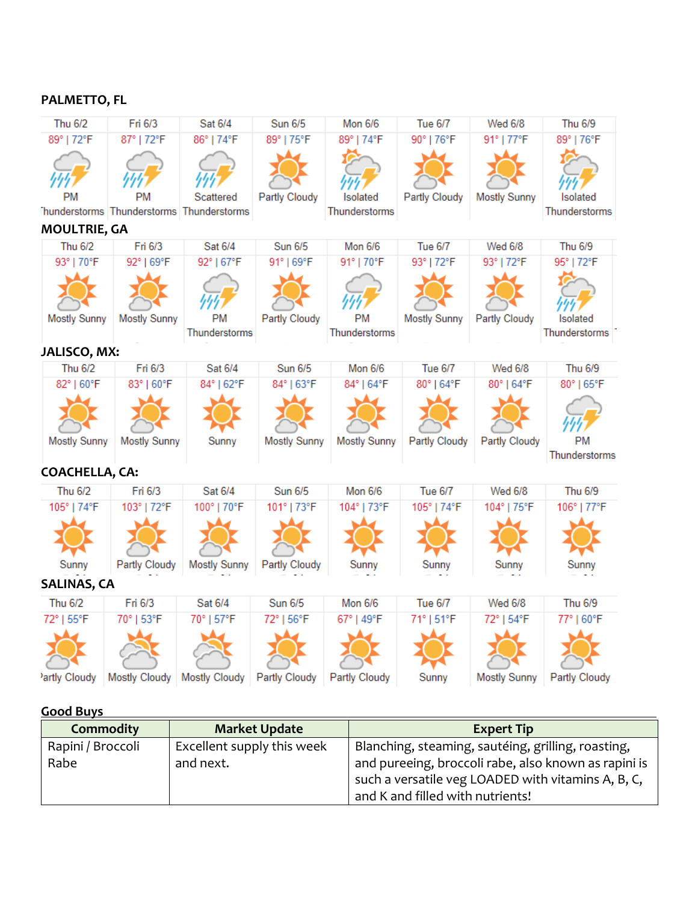## **PALMETTO, FL**

| <b>Thu 6/2</b>            | Fri 6/3                                   | Sat 6/4                    | <b>Sun 6/5</b> | <b>Mon 6/6</b>             | <b>Tue 6/7</b> | <b>Wed 6/8</b>      | Thu 6/9                    |
|---------------------------|-------------------------------------------|----------------------------|----------------|----------------------------|----------------|---------------------|----------------------------|
| 89°   72°F                | 87°   72°F                                | 86°   74°F                 | 89°   75°F     | 89°   74°F                 | 90°   76°F     | 91°   77°F          | 89°   76°F                 |
|                           |                                           |                            |                |                            |                |                     |                            |
| PM                        | <b>PM</b>                                 | Scattered                  | Partly Cloudy  | Isolated                   | Partly Cloudy  | <b>Mostly Sunny</b> | Isolated                   |
|                           | Thunderstorms Thunderstorms Thunderstorms |                            |                | Thunderstorms              |                |                     | Thunderstorms              |
| <b>MOULTRIE, GA</b>       |                                           |                            |                |                            |                |                     |                            |
| <b>Thu 6/2</b>            | Fri 6/3                                   | Sat 6/4                    | <b>Sun 6/5</b> | <b>Mon 6/6</b>             | <b>Tue 6/7</b> | <b>Wed 6/8</b>      | Thu 6/9                    |
| 93°   70°F                | 92°   69°F                                | 92°   67°F                 | 91°   69°F     | 91°   70°F                 | 93°   72°F     | 93°   72°F          | 95°   72°F                 |
|                           |                                           |                            |                |                            |                |                     |                            |
| <b>Mostly Sunny</b>       | <b>Mostly Sunny</b>                       | <b>PM</b><br>Thunderstorms | Partly Cloudy  | <b>PM</b><br>Thunderstorms | Mostly Sunny   | Partly Cloudy       | Isolated<br>Thunderstorms  |
|                           |                                           |                            |                |                            |                |                     |                            |
| JALISCO, MX:              |                                           |                            |                |                            |                |                     |                            |
| <b>Thu 6/2</b>            | Fri 6/3                                   | Sat 6/4                    | Sun 6/5        | Mon 6/6                    | <b>Tue 6/7</b> | <b>Wed 6/8</b>      | Thu 6/9                    |
| 82°   60°F                | 83°   60°F                                | 84°   62°F                 | 84°   63°F     | 84°   64°F                 | 80°   64°F     | 80°   64°F          | 80°   65°F                 |
|                           |                                           |                            |                |                            |                |                     |                            |
| Mostly Sunny              | <b>Mostly Sunny</b>                       | Sunny                      | Mostly Sunny   | Mostly Sunny               | Partly Cloudy  | Partly Cloudy       | <b>PM</b><br>Thunderstorms |
| <b>COACHELLA, CA:</b>     |                                           |                            |                |                            |                |                     |                            |
| <b>Thu 6/2</b>            | Fri 6/3                                   | Sat 6/4                    | <b>Sun 6/5</b> | <b>Mon 6/6</b>             | <b>Tue 6/7</b> | <b>Wed 6/8</b>      | Thu 6/9                    |
| 105°   74°F               | 103°   72°F                               | 100°   70°F                | 101°   73°F    | 104°   73°F                | 105°   74°F    | 104°   75°F         | 106°   77°F                |
|                           |                                           |                            |                |                            |                |                     |                            |
| Sunny                     | Partly Cloudy                             | <b>Mostly Sunny</b>        | Partly Cloudy  | Sunny                      | Sunny          | Sunny               | Sunny                      |
| <b>SALINAS, CA</b>        |                                           |                            |                |                            |                |                     |                            |
| <b>Thu 6/2</b>            | Fri 6/3                                   | Sat 6/4                    | <b>Sun 6/5</b> | <b>Mon 6/6</b>             | <b>Tue 6/7</b> | <b>Wed 6/8</b>      | Thu 6/9                    |
| 72°   55°F                | 70°   53°F                                | 70°   57°F                 | 72°   56°F     | 67°   49°F                 | 71°   51°F     | 72°   54°F          | 77°   60°F                 |
|                           |                                           |                            |                |                            |                |                     |                            |
| <sup>2</sup> artly Cloudy | <b>Mostly Cloudy</b>                      | <b>Mostly Cloudy</b>       | Partly Cloudy  | Partly Cloudy              | Sunny          | <b>Mostly Sunny</b> | Partly Cloudy              |

## **Good Buys**

| <b>Commodity</b>  | <b>Market Update</b>       | <b>Expert Tip</b>                                                                                          |
|-------------------|----------------------------|------------------------------------------------------------------------------------------------------------|
| Rapini / Broccoli | Excellent supply this week | Blanching, steaming, sautéing, grilling, roasting,                                                         |
| Rabe              | and next.                  | and pureeing, broccoli rabe, also known as rapini is<br>such a versatile veg LOADED with vitamins A, B, C, |
|                   |                            | and K and filled with nutrients!                                                                           |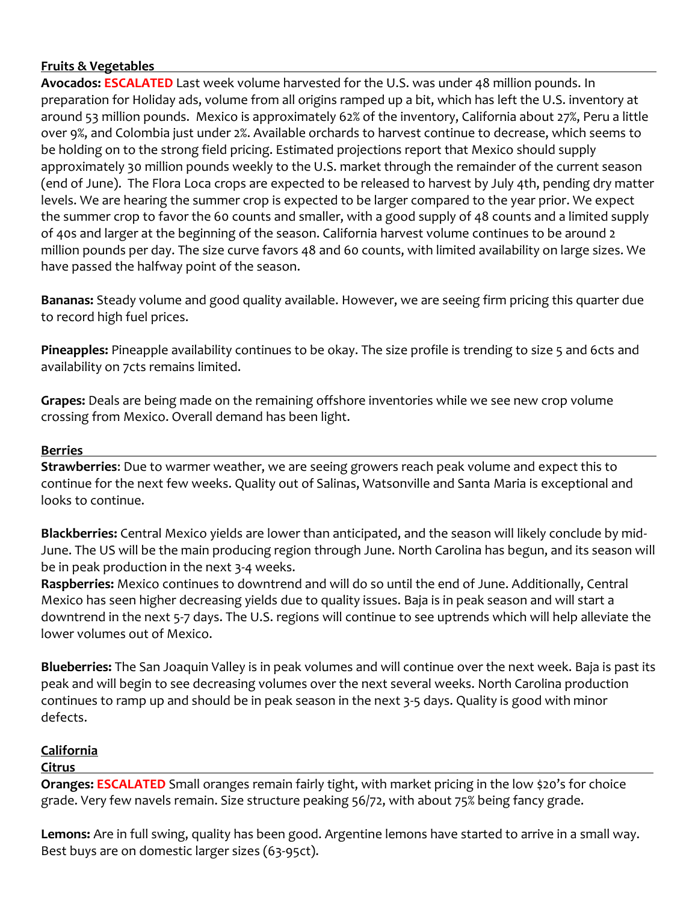## **Fruits & Vegetables**

**Avocados: ESCALATED** Last week volume harvested for the U.S. was under 48 million pounds. In preparation for Holiday ads, volume from all origins ramped up a bit, which has left the U.S. inventory at around 53 million pounds. Mexico is approximately 62% of the inventory, California about 27%, Peru a little over 9%, and Colombia just under 2%. Available orchards to harvest continue to decrease, which seems to be holding on to the strong field pricing. Estimated projections report that Mexico should supply approximately 30 million pounds weekly to the U.S. market through the remainder of the current season (end of June). The Flora Loca crops are expected to be released to harvest by July 4th, pending dry matter levels. We are hearing the summer crop is expected to be larger compared to the year prior. We expect the summer crop to favor the 60 counts and smaller, with a good supply of 48 counts and a limited supply of 40s and larger at the beginning of the season. California harvest volume continues to be around 2 million pounds per day. The size curve favors 48 and 60 counts, with limited availability on large sizes. We have passed the halfway point of the season.

**Bananas:** Steady volume and good quality available. However, we are seeing firm pricing this quarter due to record high fuel prices.

**Pineapples:** Pineapple availability continues to be okay. The size profile is trending to size 5 and 6cts and availability on 7cts remains limited.

**Grapes:** Deals are being made on the remaining offshore inventories while we see new crop volume crossing from Mexico. Overall demand has been light.

#### **Berries**

**Strawberries**: Due to warmer weather, we are seeing growers reach peak volume and expect this to continue for the next few weeks. Quality out of Salinas, Watsonville and Santa Maria is exceptional and looks to continue.

**Blackberries:** Central Mexico yields are lower than anticipated, and the season will likely conclude by mid-June. The US will be the main producing region through June. North Carolina has begun, and its season will be in peak production in the next 3-4 weeks.

**Raspberries:** Mexico continues to downtrend and will do so until the end of June. Additionally, Central Mexico has seen higher decreasing yields due to quality issues. Baja is in peak season and will start a downtrend in the next 5-7 days. The U.S. regions will continue to see uptrends which will help alleviate the lower volumes out of Mexico.

**Blueberries:** The San Joaquin Valley is in peak volumes and will continue over the next week. Baja is past its peak and will begin to see decreasing volumes over the next several weeks. North Carolina production continues to ramp up and should be in peak season in the next 3-5 days. Quality is good with minor defects.

## **California**

## **Citrus**

**Oranges: ESCALATED** Small oranges remain fairly tight, with market pricing in the low \$20's for choice grade. Very few navels remain. Size structure peaking 56/72, with about 75% being fancy grade.

**Lemons:** Are in full swing, quality has been good. Argentine lemons have started to arrive in a small way. Best buys are on domestic larger sizes (63-95ct).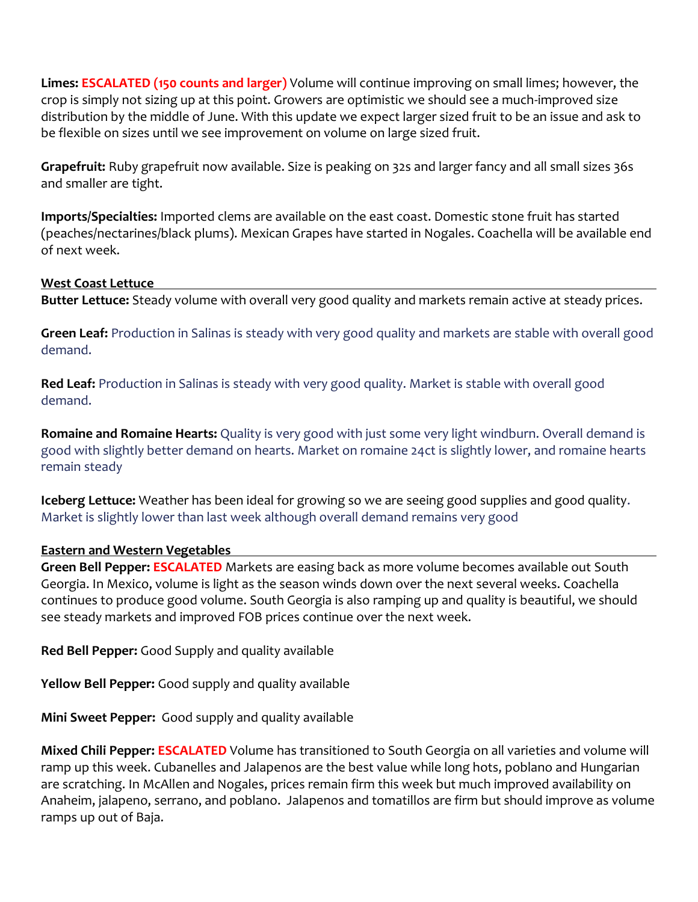**Limes: ESCALATED (150 counts and larger)** Volume will continue improving on small limes; however, the crop is simply not sizing up at this point. Growers are optimistic we should see a much-improved size distribution by the middle of June. With this update we expect larger sized fruit to be an issue and ask to be flexible on sizes until we see improvement on volume on large sized fruit.

**Grapefruit:** Ruby grapefruit now available. Size is peaking on 32s and larger fancy and all small sizes 36s and smaller are tight.

**Imports/Specialties:** Imported clems are available on the east coast. Domestic stone fruit has started (peaches/nectarines/black plums). Mexican Grapes have started in Nogales. Coachella will be available end of next week.

#### **West Coast Lettuce**

**Butter Lettuce:** Steady volume with overall very good quality and markets remain active at steady prices.

**Green Leaf:** Production in Salinas is steady with very good quality and markets are stable with overall good demand.

**Red Leaf:** Production in Salinas is steady with very good quality. Market is stable with overall good demand.

**Romaine and Romaine Hearts:** Quality is very good with just some very light windburn. Overall demand is good with slightly better demand on hearts. Market on romaine 24ct is slightly lower, and romaine hearts remain steady

**Iceberg Lettuce:** Weather has been ideal for growing so we are seeing good supplies and good quality. Market is slightly lower than last week although overall demand remains very good

## **Eastern and Western Vegetables**

**Green Bell Pepper: ESCALATED** Markets are easing back as more volume becomes available out South Georgia. In Mexico, volume is light as the season winds down over the next several weeks. Coachella continues to produce good volume. South Georgia is also ramping up and quality is beautiful, we should see steady markets and improved FOB prices continue over the next week.

**Red Bell Pepper:** Good Supply and quality available

**Yellow Bell Pepper:** Good supply and quality available

**Mini Sweet Pepper:** Good supply and quality available

**Mixed Chili Pepper: ESCALATED** Volume has transitioned to South Georgia on all varieties and volume will ramp up this week. Cubanelles and Jalapenos are the best value while long hots, poblano and Hungarian are scratching. In McAllen and Nogales, prices remain firm this week but much improved availability on Anaheim, jalapeno, serrano, and poblano. Jalapenos and tomatillos are firm but should improve as volume ramps up out of Baja.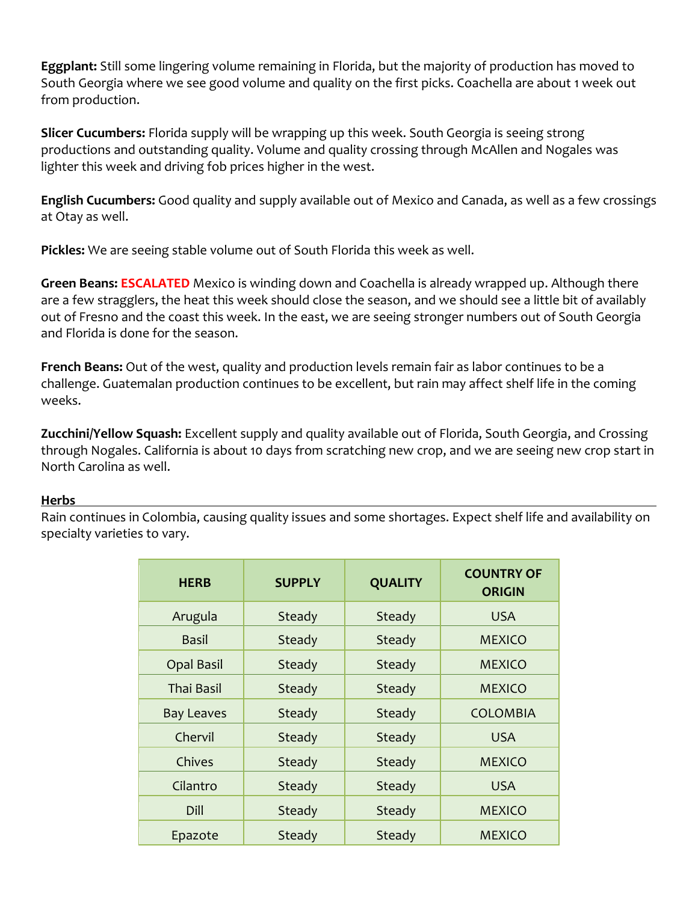**Eggplant:** Still some lingering volume remaining in Florida, but the majority of production has moved to South Georgia where we see good volume and quality on the first picks. Coachella are about 1 week out from production.

**Slicer Cucumbers:** Florida supply will be wrapping up this week. South Georgia is seeing strong productions and outstanding quality. Volume and quality crossing through McAllen and Nogales was lighter this week and driving fob prices higher in the west.

**English Cucumbers:** Good quality and supply available out of Mexico and Canada, as well as a few crossings at Otay as well.

**Pickles:** We are seeing stable volume out of South Florida this week as well.

**Green Beans: ESCALATED** Mexico is winding down and Coachella is already wrapped up. Although there are a few stragglers, the heat this week should close the season, and we should see a little bit of availably out of Fresno and the coast this week. In the east, we are seeing stronger numbers out of South Georgia and Florida is done for the season.

**French Beans:** Out of the west, quality and production levels remain fair as labor continues to be a challenge. Guatemalan production continues to be excellent, but rain may affect shelf life in the coming weeks.

**Zucchini/Yellow Squash:** Excellent supply and quality available out of Florida, South Georgia, and Crossing through Nogales. California is about 10 days from scratching new crop, and we are seeing new crop start in North Carolina as well.

## **Herbs**

Rain continues in Colombia, causing quality issues and some shortages. Expect shelf life and availability on specialty varieties to vary.

| <b>HERB</b>       | <b>SUPPLY</b> | <b>QUALITY</b> | <b>COUNTRY OF</b><br><b>ORIGIN</b> |
|-------------------|---------------|----------------|------------------------------------|
| Arugula           | Steady        | Steady         | <b>USA</b>                         |
| Basil             | Steady        | Steady         | <b>MEXICO</b>                      |
| <b>Opal Basil</b> | Steady        | Steady         | <b>MEXICO</b>                      |
| <b>Thai Basil</b> | Steady        | Steady         | <b>MEXICO</b>                      |
| <b>Bay Leaves</b> | Steady        | Steady         | <b>COLOMBIA</b>                    |
| Chervil           | Steady        | Steady         | <b>USA</b>                         |
| Chives            | Steady        | Steady         | <b>MEXICO</b>                      |
| Cilantro          | Steady        | Steady         | <b>USA</b>                         |
| Dill              | Steady        | Steady         | <b>MEXICO</b>                      |
| Epazote           | Steady        | Steady         | <b>MEXICO</b>                      |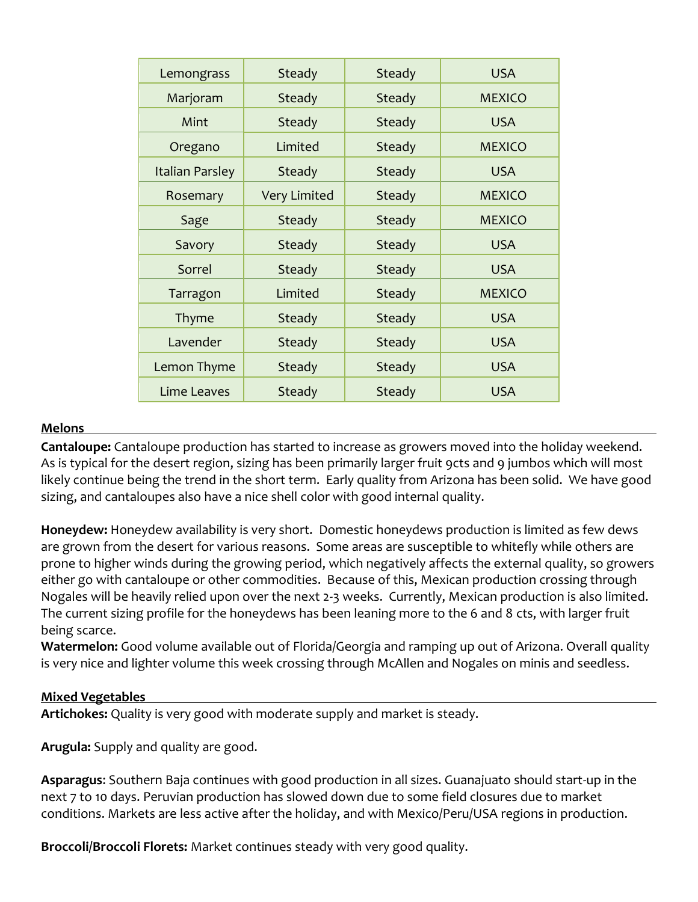| Lemongrass      | Steady              | Steady | <b>USA</b>    |
|-----------------|---------------------|--------|---------------|
| Marjoram        | Steady              | Steady | <b>MEXICO</b> |
| Mint            | Steady              | Steady | <b>USA</b>    |
| Oregano         | Limited             | Steady | <b>MEXICO</b> |
| Italian Parsley | Steady              | Steady | <b>USA</b>    |
| Rosemary        | <b>Very Limited</b> | Steady | <b>MEXICO</b> |
| Sage            | Steady              | Steady | <b>MEXICO</b> |
| Savory          | Steady              | Steady | <b>USA</b>    |
| Sorrel          | Steady              | Steady | <b>USA</b>    |
| Tarragon        | Limited             | Steady | <b>MEXICO</b> |
| Thyme           | Steady              | Steady | <b>USA</b>    |
| Lavender        | Steady              | Steady | <b>USA</b>    |
| Lemon Thyme     | Steady              | Steady | <b>USA</b>    |
| Lime Leaves     | Steady              | Steady | <b>USA</b>    |

#### **Melons**

**Cantaloupe:** Cantaloupe production has started to increase as growers moved into the holiday weekend. As is typical for the desert region, sizing has been primarily larger fruit 9cts and 9 jumbos which will most likely continue being the trend in the short term. Early quality from Arizona has been solid. We have good sizing, and cantaloupes also have a nice shell color with good internal quality.

**Honeydew:** Honeydew availability is very short. Domestic honeydews production is limited as few dews are grown from the desert for various reasons. Some areas are susceptible to whitefly while others are prone to higher winds during the growing period, which negatively affects the external quality, so growers either go with cantaloupe or other commodities. Because of this, Mexican production crossing through Nogales will be heavily relied upon over the next 2-3 weeks. Currently, Mexican production is also limited. The current sizing profile for the honeydews has been leaning more to the 6 and 8 cts, with larger fruit being scarce.

**Watermelon:** Good volume available out of Florida/Georgia and ramping up out of Arizona. Overall quality is very nice and lighter volume this week crossing through McAllen and Nogales on minis and seedless.

#### **Mixed Vegetables**

**Artichokes:** Quality is very good with moderate supply and market is steady.

**Arugula:** Supply and quality are good.

**Asparagus**: Southern Baja continues with good production in all sizes. Guanajuato should start-up in the next 7 to 10 days. Peruvian production has slowed down due to some field closures due to market conditions. Markets are less active after the holiday, and with Mexico/Peru/USA regions in production.

**Broccoli/Broccoli Florets:** Market continues steady with very good quality.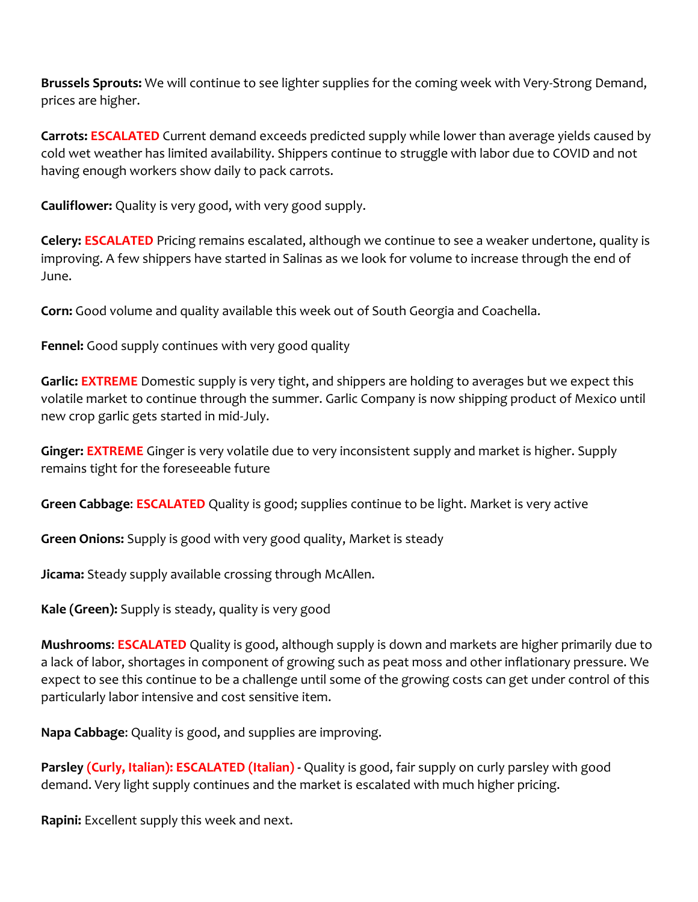**Brussels Sprouts:** We will continue to see lighter supplies for the coming week with Very-Strong Demand, prices are higher.

**Carrots: ESCALATED** Current demand exceeds predicted supply while lower than average yields caused by cold wet weather has limited availability. Shippers continue to struggle with labor due to COVID and not having enough workers show daily to pack carrots.

**Cauliflower:** Quality is very good, with very good supply.

**Celery: ESCALATED** Pricing remains escalated, although we continue to see a weaker undertone, quality is improving. A few shippers have started in Salinas as we look for volume to increase through the end of June.

**Corn:** Good volume and quality available this week out of South Georgia and Coachella.

**Fennel:** Good supply continues with very good quality

**Garlic: EXTREME** Domestic supply is very tight, and shippers are holding to averages but we expect this volatile market to continue through the summer. Garlic Company is now shipping product of Mexico until new crop garlic gets started in mid-July.

**Ginger: EXTREME** Ginger is very volatile due to very inconsistent supply and market is higher. Supply remains tight for the foreseeable future

**Green Cabbage**: **ESCALATED** Quality is good; supplies continue to be light. Market is very active

**Green Onions:** Supply is good with very good quality, Market is steady

**Jicama:** Steady supply available crossing through McAllen.

**Kale (Green):** Supply is steady, quality is very good

**Mushrooms**: **ESCALATED** Quality is good, although supply is down and markets are higher primarily due to a lack of labor, shortages in component of growing such as peat moss and other inflationary pressure. We expect to see this continue to be a challenge until some of the growing costs can get under control of this particularly labor intensive and cost sensitive item.

**Napa Cabbage**: Quality is good, and supplies are improving.

Parsley (Curly, Italian): ESCALATED (Italian) - Quality is good, fair supply on curly parsley with good demand. Very light supply continues and the market is escalated with much higher pricing.

**Rapini:** Excellent supply this week and next.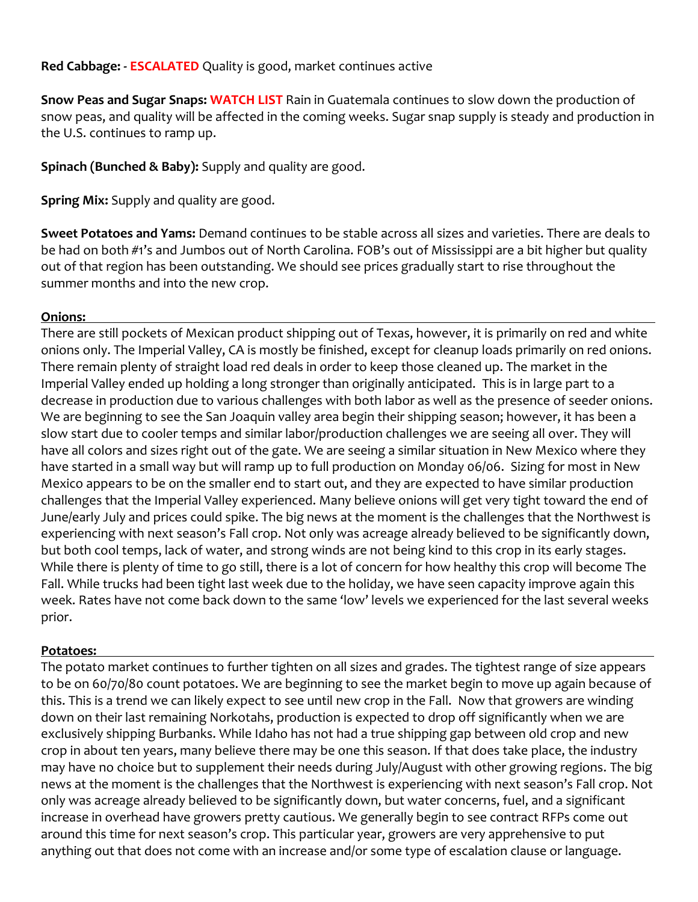**Red Cabbage: - ESCALATED** Quality is good, market continues active

**Snow Peas and Sugar Snaps: WATCH LIST** Rain in Guatemala continues to slow down the production of snow peas, and quality will be affected in the coming weeks. Sugar snap supply is steady and production in the U.S. continues to ramp up.

**Spinach (Bunched & Baby):** Supply and quality are good.

**Spring Mix:** Supply and quality are good.

**Sweet Potatoes and Yams:** Demand continues to be stable across all sizes and varieties. There are deals to be had on both #1's and Jumbos out of North Carolina. FOB's out of Mississippi are a bit higher but quality out of that region has been outstanding. We should see prices gradually start to rise throughout the summer months and into the new crop.

## **Onions:**

There are still pockets of Mexican product shipping out of Texas, however, it is primarily on red and white onions only. The Imperial Valley, CA is mostly be finished, except for cleanup loads primarily on red onions. There remain plenty of straight load red deals in order to keep those cleaned up. The market in the Imperial Valley ended up holding a long stronger than originally anticipated. This is in large part to a decrease in production due to various challenges with both labor as well as the presence of seeder onions. We are beginning to see the San Joaquin valley area begin their shipping season; however, it has been a slow start due to cooler temps and similar labor/production challenges we are seeing all over. They will have all colors and sizes right out of the gate. We are seeing a similar situation in New Mexico where they have started in a small way but will ramp up to full production on Monday 06/06. Sizing for most in New Mexico appears to be on the smaller end to start out, and they are expected to have similar production challenges that the Imperial Valley experienced. Many believe onions will get very tight toward the end of June/early July and prices could spike. The big news at the moment is the challenges that the Northwest is experiencing with next season's Fall crop. Not only was acreage already believed to be significantly down, but both cool temps, lack of water, and strong winds are not being kind to this crop in its early stages. While there is plenty of time to go still, there is a lot of concern for how healthy this crop will become The Fall. While trucks had been tight last week due to the holiday, we have seen capacity improve again this week. Rates have not come back down to the same 'low' levels we experienced for the last several weeks prior.

## **Potatoes:**

The potato market continues to further tighten on all sizes and grades. The tightest range of size appears to be on 60/70/80 count potatoes. We are beginning to see the market begin to move up again because of this. This is a trend we can likely expect to see until new crop in the Fall. Now that growers are winding down on their last remaining Norkotahs, production is expected to drop off significantly when we are exclusively shipping Burbanks. While Idaho has not had a true shipping gap between old crop and new crop in about ten years, many believe there may be one this season. If that does take place, the industry may have no choice but to supplement their needs during July/August with other growing regions. The big news at the moment is the challenges that the Northwest is experiencing with next season's Fall crop. Not only was acreage already believed to be significantly down, but water concerns, fuel, and a significant increase in overhead have growers pretty cautious. We generally begin to see contract RFPs come out around this time for next season's crop. This particular year, growers are very apprehensive to put anything out that does not come with an increase and/or some type of escalation clause or language.